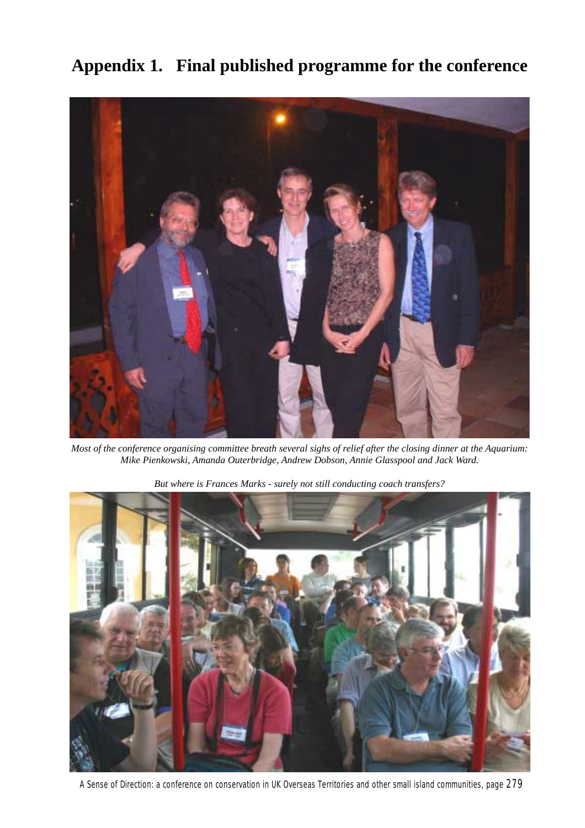

**Appendix 1. Final published programme for the conference**

*Most of the conference organising committee breath several sighs of relief after the closing dinner at the Aquarium: Mike Pienkowski, Amanda Outerbridge, Andrew Dobson, Annie Glasspool and Jack Ward.*



*But where is Frances Marks - surely not still conducting coach transfers?*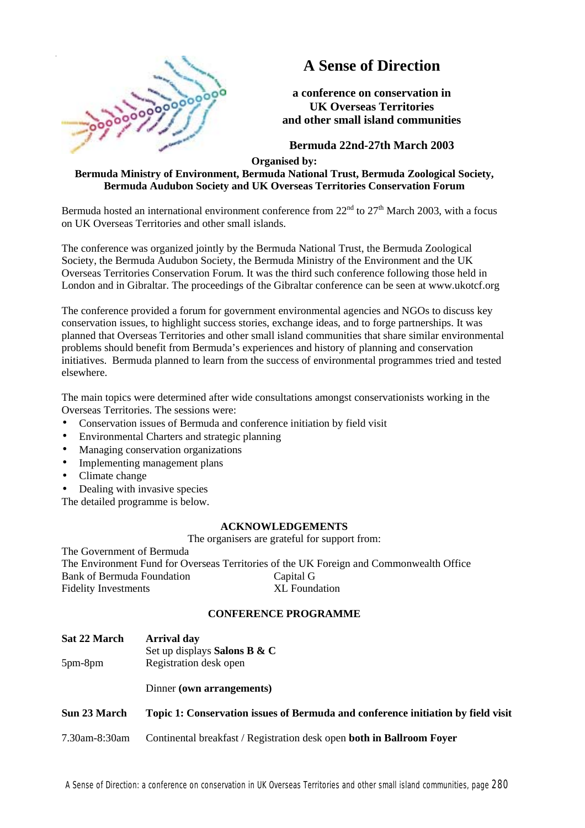

# **A Sense of Direction**

**a conference on conservation in UK Overseas Territories and other small island communities**

**Bermuda 22nd-27th March 2003**

**Organised by:**

# **Bermuda Ministry of Environment, Bermuda National Trust, Bermuda Zoological Society, Bermuda Audubon Society and UK Overseas Territories Conservation Forum**

Bermuda hosted an international environment conference from  $22<sup>nd</sup>$  to  $27<sup>th</sup>$  March 2003, with a focus on UK Overseas Territories and other small islands.

The conference was organized jointly by the Bermuda National Trust, the Bermuda Zoological Society, the Bermuda Audubon Society, the Bermuda Ministry of the Environment and the UK Overseas Territories Conservation Forum. It was the third such conference following those held in London and in Gibraltar. The proceedings of the Gibraltar conference can be seen at www.ukotcf.org

The conference provided a forum for government environmental agencies and NGOs to discuss key conservation issues, to highlight success stories, exchange ideas, and to forge partnerships. It was planned that Overseas Territories and other small island communities that share similar environmental problems should benefit from Bermuda's experiences and history of planning and conservation initiatives. Bermuda planned to learn from the success of environmental programmes tried and tested elsewhere.

The main topics were determined after wide consultations amongst conservationists working in the Overseas Territories. The sessions were:

- Conservation issues of Bermuda and conference initiation by field visit
- Environmental Charters and strategic planning
- Managing conservation organizations
- Implementing management plans
- Climate change
- Dealing with invasive species

The detailed programme is below.

# **ACKNOWLEDGEMENTS**

The organisers are grateful for support from:

The Government of Bermuda The Environment Fund for Overseas Territories of the UK Foreign and Commonwealth Office Bank of Bermuda Foundation Capital G Fidelity Investments XL Foundation

# **CONFERENCE PROGRAMME**

**Sat 22 March Arrival day** 5pm-8pm Set up displays **Salons B & C** Registration desk open Dinner **(own arrangements) Sun 23 March Topic 1: Conservation issues of Bermuda and conference initiation by field visit** 7.30am-8:30am Continental breakfast / Registration desk open **both in Ballroom Foyer**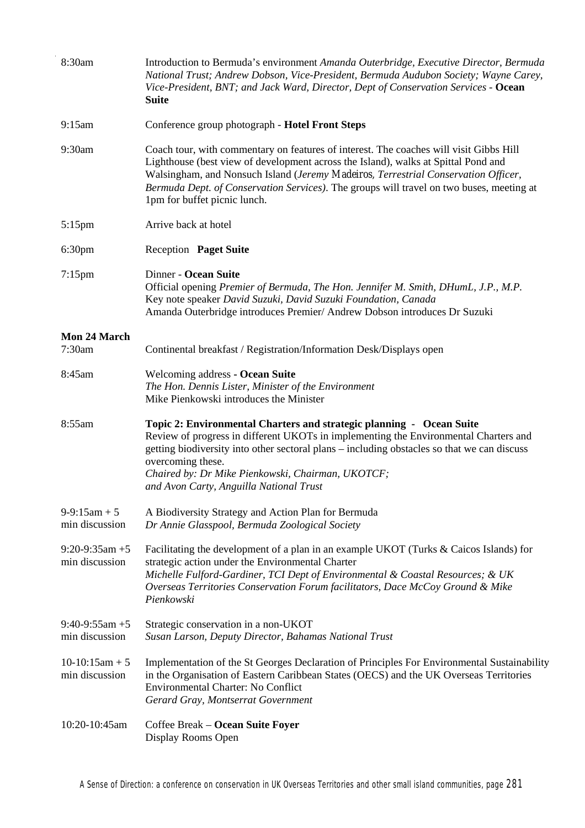| 8:30am                              | Introduction to Bermuda's environment Amanda Outerbridge, Executive Director, Bermuda<br>National Trust; Andrew Dobson, Vice-President, Bermuda Audubon Society; Wayne Carey,<br>Vice-President, BNT; and Jack Ward, Director, Dept of Conservation Services - Ocean<br><b>Suite</b>                                                                                                           |  |
|-------------------------------------|------------------------------------------------------------------------------------------------------------------------------------------------------------------------------------------------------------------------------------------------------------------------------------------------------------------------------------------------------------------------------------------------|--|
| 9:15am                              | Conference group photograph - Hotel Front Steps                                                                                                                                                                                                                                                                                                                                                |  |
| 9:30am                              | Coach tour, with commentary on features of interest. The coaches will visit Gibbs Hill<br>Lighthouse (best view of development across the Island), walks at Spittal Pond and<br>Walsingham, and Nonsuch Island (Jeremy Madeiros, Terrestrial Conservation Officer,<br>Bermuda Dept. of Conservation Services). The groups will travel on two buses, meeting at<br>1pm for buffet picnic lunch. |  |
| $5:15$ pm                           | Arrive back at hotel                                                                                                                                                                                                                                                                                                                                                                           |  |
| 6:30 <sub>pm</sub>                  | Reception Paget Suite                                                                                                                                                                                                                                                                                                                                                                          |  |
| $7:15$ pm                           | Dinner - Ocean Suite<br>Official opening Premier of Bermuda, The Hon. Jennifer M. Smith, DHumL, J.P., M.P.<br>Key note speaker David Suzuki, David Suzuki Foundation, Canada<br>Amanda Outerbridge introduces Premier/ Andrew Dobson introduces Dr Suzuki                                                                                                                                      |  |
| Mon 24 March                        |                                                                                                                                                                                                                                                                                                                                                                                                |  |
| 7:30am                              | Continental breakfast / Registration/Information Desk/Displays open                                                                                                                                                                                                                                                                                                                            |  |
| 8:45am                              | Welcoming address - Ocean Suite<br>The Hon. Dennis Lister, Minister of the Environment<br>Mike Pienkowski introduces the Minister                                                                                                                                                                                                                                                              |  |
| 8:55am                              | Topic 2: Environmental Charters and strategic planning - Ocean Suite<br>Review of progress in different UKOTs in implementing the Environmental Charters and<br>getting biodiversity into other sectoral plans – including obstacles so that we can discuss<br>overcoming these.<br>Chaired by: Dr Mike Pienkowski, Chairman, UKOTCF;<br>and Avon Carty, Anguilla National Trust               |  |
| $9-9:15am + 5$<br>min discussion    | A Biodiversity Strategy and Action Plan for Bermuda<br>Dr Annie Glasspool, Bermuda Zoological Society                                                                                                                                                                                                                                                                                          |  |
| $9:20-9:35am + 5$<br>min discussion | Facilitating the development of a plan in an example UKOT (Turks & Caicos Islands) for<br>strategic action under the Environmental Charter<br>Michelle Fulford-Gardiner, TCI Dept of Environmental & Coastal Resources; & UK<br>Overseas Territories Conservation Forum facilitators, Dace McCoy Ground & Mike<br>Pienkowski                                                                   |  |
| $9:40-9:55am + 5$<br>min discussion | Strategic conservation in a non-UKOT<br>Susan Larson, Deputy Director, Bahamas National Trust                                                                                                                                                                                                                                                                                                  |  |
| $10-10:15am + 5$<br>min discussion  | Implementation of the St Georges Declaration of Principles For Environmental Sustainability<br>in the Organisation of Eastern Caribbean States (OECS) and the UK Overseas Territories<br><b>Environmental Charter: No Conflict</b><br>Gerard Gray, Montserrat Government                                                                                                                       |  |
| 10:20-10:45am                       | Coffee Break – Ocean Suite Foyer<br>Display Rooms Open                                                                                                                                                                                                                                                                                                                                         |  |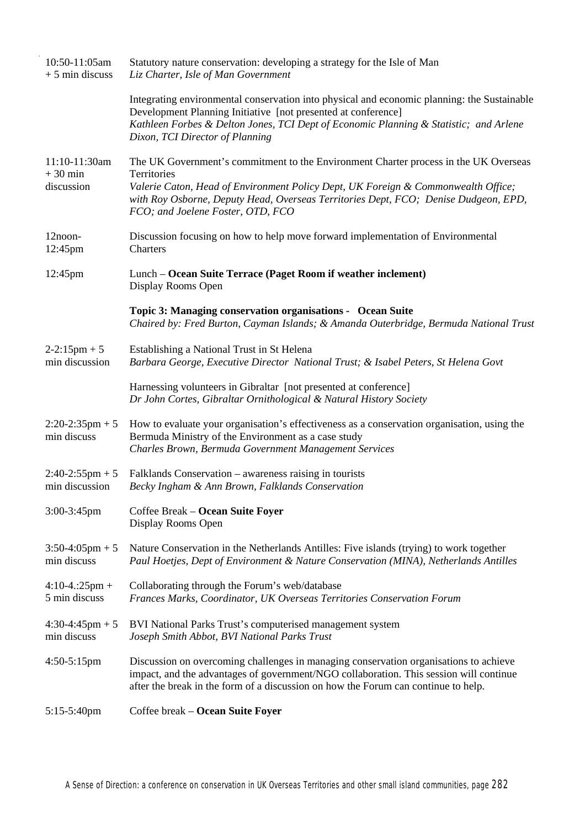| 10:50-11:05am<br>$+5$ min discuss        | Statutory nature conservation: developing a strategy for the Isle of Man<br>Liz Charter, Isle of Man Government                                                                                                                                                                                                      |
|------------------------------------------|----------------------------------------------------------------------------------------------------------------------------------------------------------------------------------------------------------------------------------------------------------------------------------------------------------------------|
|                                          | Integrating environmental conservation into physical and economic planning: the Sustainable<br>Development Planning Initiative [not presented at conference]<br>Kathleen Forbes & Delton Jones, TCI Dept of Economic Planning & Statistic; and Arlene<br>Dixon, TCI Director of Planning                             |
| 11:10-11:30am<br>$+30$ min<br>discussion | The UK Government's commitment to the Environment Charter process in the UK Overseas<br>Territories<br>Valerie Caton, Head of Environment Policy Dept, UK Foreign & Commonwealth Office;<br>with Roy Osborne, Deputy Head, Overseas Territories Dept, FCO; Denise Dudgeon, EPD,<br>FCO; and Joelene Foster, OTD, FCO |
| 12noon-<br>12:45pm                       | Discussion focusing on how to help move forward implementation of Environmental<br>Charters                                                                                                                                                                                                                          |
| 12:45pm                                  | Lunch – Ocean Suite Terrace (Paget Room if weather inclement)<br>Display Rooms Open                                                                                                                                                                                                                                  |
|                                          | Topic 3: Managing conservation organisations - Ocean Suite<br>Chaired by: Fred Burton, Cayman Islands; & Amanda Outerbridge, Bermuda National Trust                                                                                                                                                                  |
| $2-2:15$ pm + 5<br>min discussion        | Establishing a National Trust in St Helena<br>Barbara George, Executive Director National Trust; & Isabel Peters, St Helena Govt                                                                                                                                                                                     |
|                                          | Harnessing volunteers in Gibraltar [not presented at conference]<br>Dr John Cortes, Gibraltar Ornithological & Natural History Society                                                                                                                                                                               |
| $2:20-2:35$ pm + 5<br>min discuss        | How to evaluate your organisation's effectiveness as a conservation organisation, using the<br>Bermuda Ministry of the Environment as a case study<br>Charles Brown, Bermuda Government Management Services                                                                                                          |
| $2:40-2:55$ pm + 5<br>min discussion     | Falklands Conservation – awareness raising in tourists<br>Becky Ingham & Ann Brown, Falklands Conservation                                                                                                                                                                                                           |
| $3:00-3:45$ pm                           | Coffee Break - Ocean Suite Foyer<br>Display Rooms Open                                                                                                                                                                                                                                                               |
| $3:50-4:05$ pm + 5<br>min discuss        | Nature Conservation in the Netherlands Antilles: Five islands (trying) to work together<br>Paul Hoetjes, Dept of Environment & Nature Conservation (MINA), Netherlands Antilles                                                                                                                                      |
| $4:10-4::25pm +$<br>5 min discuss        | Collaborating through the Forum's web/database<br>Frances Marks, Coordinator, UK Overseas Territories Conservation Forum                                                                                                                                                                                             |
| $4:30-4:45$ pm + 5<br>min discuss        | BVI National Parks Trust's computerised management system<br>Joseph Smith Abbot, BVI National Parks Trust                                                                                                                                                                                                            |
| $4:50-5:15$ pm                           | Discussion on overcoming challenges in managing conservation organisations to achieve<br>impact, and the advantages of government/NGO collaboration. This session will continue<br>after the break in the form of a discussion on how the Forum can continue to help.                                                |
| 5:15-5:40pm                              | Coffee break - Ocean Suite Foyer                                                                                                                                                                                                                                                                                     |

 $\hat{\boldsymbol{\beta}}$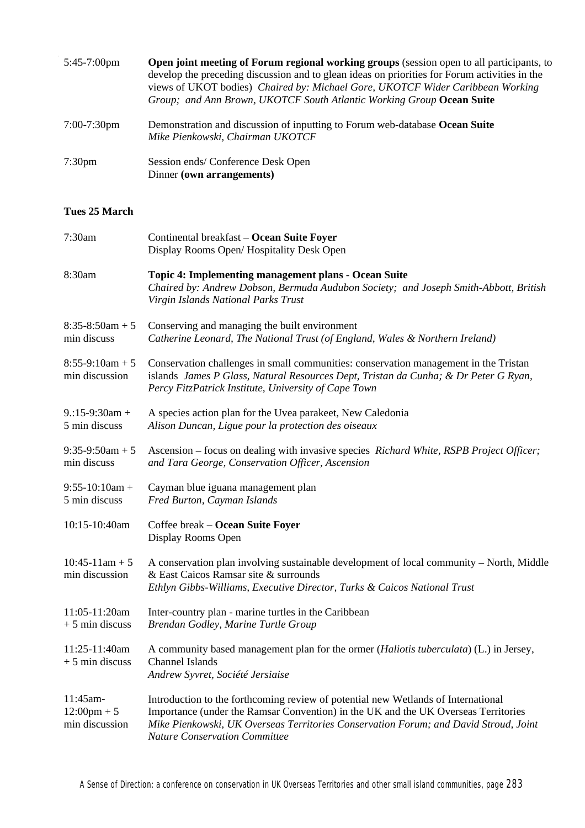| $5:45-7:00$ pm     | <b>Open joint meeting of Forum regional working groups</b> (session open to all participants, to<br>develop the preceding discussion and to glean ideas on priorities for Forum activities in the<br>views of UKOT bodies) Chaired by: Michael Gore, UKOTCF Wider Caribbean Working<br>Group; and Ann Brown, UKOTCF South Atlantic Working Group Ocean Suite |  |
|--------------------|--------------------------------------------------------------------------------------------------------------------------------------------------------------------------------------------------------------------------------------------------------------------------------------------------------------------------------------------------------------|--|
| $7:00-7:30$ pm     | Demonstration and discussion of inputting to Forum web-database Ocean Suite<br>Mike Pienkowski, Chairman UKOTCF                                                                                                                                                                                                                                              |  |
| 7:30 <sub>pm</sub> | Session ends/Conference Desk Open<br>Dinner (own arrangements)                                                                                                                                                                                                                                                                                               |  |

# **Tues 25 March**

J,

| 7:30am                                              | Continental breakfast - Ocean Suite Foyer<br>Display Rooms Open/Hospitality Desk Open                                                                                                                                                                                                                   |  |
|-----------------------------------------------------|---------------------------------------------------------------------------------------------------------------------------------------------------------------------------------------------------------------------------------------------------------------------------------------------------------|--|
| 8:30am                                              | <b>Topic 4: Implementing management plans - Ocean Suite</b><br>Chaired by: Andrew Dobson, Bermuda Audubon Society; and Joseph Smith-Abbott, British<br>Virgin Islands National Parks Trust                                                                                                              |  |
| $8:35-8:50am + 5$<br>min discuss                    | Conserving and managing the built environment<br>Catherine Leonard, The National Trust (of England, Wales & Northern Ireland)                                                                                                                                                                           |  |
| $8:55-9:10am + 5$<br>min discussion                 | Conservation challenges in small communities: conservation management in the Tristan<br>islands James P Glass, Natural Resources Dept, Tristan da Cunha; & Dr Peter G Ryan,<br>Percy FitzPatrick Institute, University of Cape Town                                                                     |  |
| $9:15-9:30am +$<br>5 min discuss                    | A species action plan for the Uvea parakeet, New Caledonia<br>Alison Duncan, Ligue pour la protection des oiseaux                                                                                                                                                                                       |  |
| $9:35-9:50am + 5$<br>min discuss                    | Ascension – focus on dealing with invasive species Richard White, RSPB Project Officer;<br>and Tara George, Conservation Officer, Ascension                                                                                                                                                             |  |
| $9:55-10:10am +$<br>5 min discuss                   | Cayman blue iguana management plan<br>Fred Burton, Cayman Islands                                                                                                                                                                                                                                       |  |
| 10:15-10:40am                                       | Coffee break - Ocean Suite Foyer<br>Display Rooms Open                                                                                                                                                                                                                                                  |  |
| $10:45-11am + 5$<br>min discussion                  | A conservation plan involving sustainable development of local community - North, Middle<br>& East Caicos Ramsar site & surrounds<br>Ethlyn Gibbs-Williams, Executive Director, Turks & Caicos National Trust                                                                                           |  |
| 11:05-11:20am<br>$+5$ min discuss                   | Inter-country plan - marine turtles in the Caribbean<br>Brendan Godley, Marine Turtle Group                                                                                                                                                                                                             |  |
| 11:25-11:40am<br>$+5$ min discuss                   | A community based management plan for the ormer (Haliotis tuberculata) (L.) in Jersey,<br>Channel Islands<br>Andrew Syvret, Société Jersiaise                                                                                                                                                           |  |
| 11:45am-<br>$12:00 \text{pm} + 5$<br>min discussion | Introduction to the forthcoming review of potential new Wetlands of International<br>Importance (under the Ramsar Convention) in the UK and the UK Overseas Territories<br>Mike Pienkowski, UK Overseas Territories Conservation Forum; and David Stroud, Joint<br><b>Nature Conservation Committee</b> |  |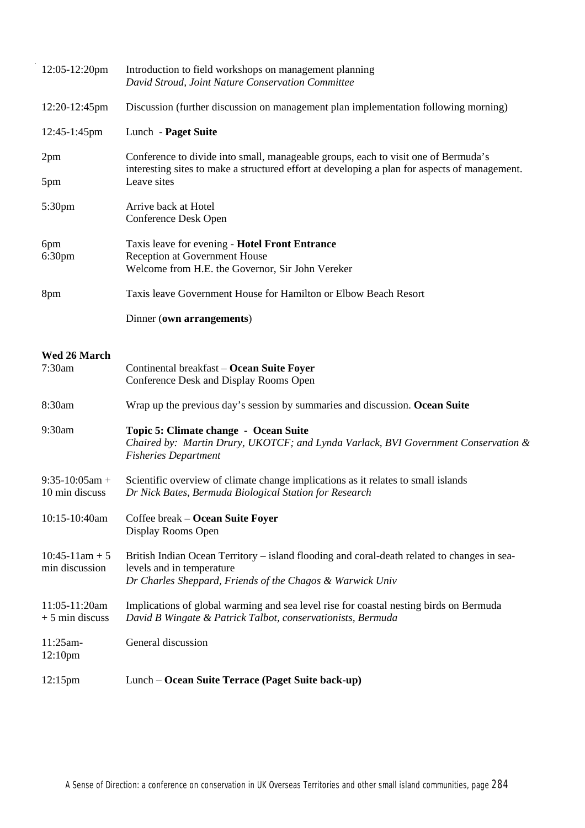|                                 | $12:05-12:20$ pm                   | Introduction to field workshops on management planning<br>David Stroud, Joint Nature Conservation Committee                                                                                        |  |
|---------------------------------|------------------------------------|----------------------------------------------------------------------------------------------------------------------------------------------------------------------------------------------------|--|
|                                 | 12:20-12:45pm                      | Discussion (further discussion on management plan implementation following morning)                                                                                                                |  |
|                                 | 12:45-1:45pm                       | Lunch - Paget Suite                                                                                                                                                                                |  |
| 2pm                             |                                    | Conference to divide into small, manageable groups, each to visit one of Bermuda's<br>interesting sites to make a structured effort at developing a plan for aspects of management.<br>Leave sites |  |
| 5pm                             |                                    |                                                                                                                                                                                                    |  |
| 5:30pm                          |                                    | Arrive back at Hotel<br>Conference Desk Open                                                                                                                                                       |  |
| 6pm<br>6:30 <sub>pm</sub>       |                                    | Taxis leave for evening - Hotel Front Entrance<br>Reception at Government House                                                                                                                    |  |
|                                 |                                    | Welcome from H.E. the Governor, Sir John Vereker                                                                                                                                                   |  |
| 8pm                             |                                    | Taxis leave Government House for Hamilton or Elbow Beach Resort                                                                                                                                    |  |
|                                 |                                    | Dinner (own arrangements)                                                                                                                                                                          |  |
|                                 | Wed 26 March                       |                                                                                                                                                                                                    |  |
| 7:30am                          |                                    | Continental breakfast - Ocean Suite Foyer<br>Conference Desk and Display Rooms Open                                                                                                                |  |
| 8:30am                          |                                    | Wrap up the previous day's session by summaries and discussion. Ocean Suite                                                                                                                        |  |
| 9:30am                          |                                    | Topic 5: Climate change - Ocean Suite<br>Chaired by: Martin Drury, UKOTCF; and Lynda Varlack, BVI Government Conservation &<br><b>Fisheries Department</b>                                         |  |
|                                 | $9:35-10:05am +$<br>10 min discuss | Scientific overview of climate change implications as it relates to small islands<br>Dr Nick Bates, Bermuda Biological Station for Research                                                        |  |
|                                 | 10:15-10:40am                      | Coffee break – Ocean Suite Foyer<br>Display Rooms Open                                                                                                                                             |  |
|                                 | $10:45-11am + 5$<br>min discussion | British Indian Ocean Territory – island flooding and coral-death related to changes in sea-<br>levels and in temperature<br>Dr Charles Sheppard, Friends of the Chagos & Warwick Univ              |  |
|                                 | 11:05-11:20am<br>$+5$ min discuss  | Implications of global warming and sea level rise for coastal nesting birds on Bermuda<br>David B Wingate & Patrick Talbot, conservationists, Bermuda                                              |  |
| 11:25am-<br>12:10 <sub>pm</sub> |                                    | General discussion                                                                                                                                                                                 |  |
| $12:15$ pm                      |                                    | Lunch - Ocean Suite Terrace (Paget Suite back-up)                                                                                                                                                  |  |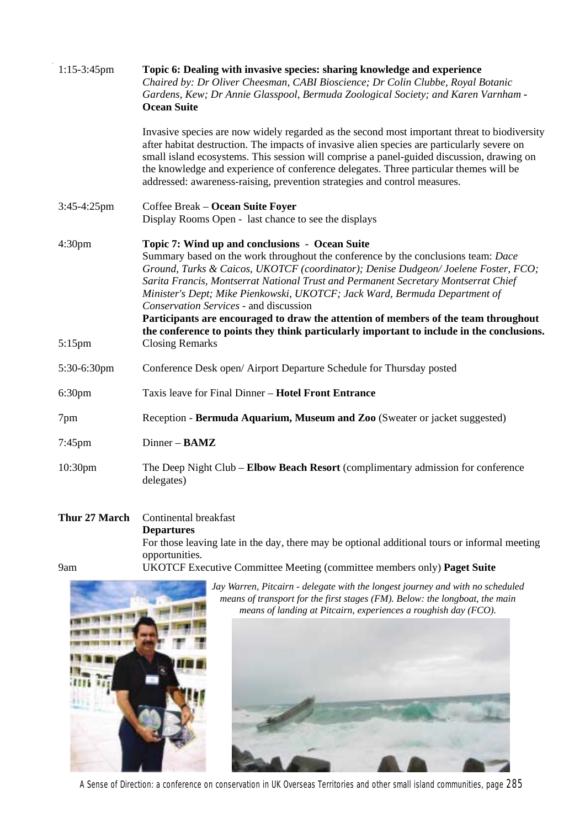| 1:15-3:45pm        | Topic 6: Dealing with invasive species: sharing knowledge and experience<br>Chaired by: Dr Oliver Cheesman, CABI Bioscience; Dr Colin Clubbe, Royal Botanic<br>Gardens, Kew; Dr Annie Glasspool, Bermuda Zoological Society; and Karen Varnham -<br><b>Ocean Suite</b>                                                                                                                                                                                                                                                                                                                                                     |  |
|--------------------|----------------------------------------------------------------------------------------------------------------------------------------------------------------------------------------------------------------------------------------------------------------------------------------------------------------------------------------------------------------------------------------------------------------------------------------------------------------------------------------------------------------------------------------------------------------------------------------------------------------------------|--|
|                    | Invasive species are now widely regarded as the second most important threat to biodiversity<br>after habitat destruction. The impacts of invasive alien species are particularly severe on<br>small island ecosystems. This session will comprise a panel-guided discussion, drawing on<br>the knowledge and experience of conference delegates. Three particular themes will be<br>addressed: awareness-raising, prevention strategies and control measures.                                                                                                                                                             |  |
| 3:45-4:25pm        | Coffee Break – Ocean Suite Foyer<br>Display Rooms Open - last chance to see the displays                                                                                                                                                                                                                                                                                                                                                                                                                                                                                                                                   |  |
| 4:30pm             | Topic 7: Wind up and conclusions - Ocean Suite<br>Summary based on the work throughout the conference by the conclusions team: Dace<br>Ground, Turks & Caicos, UKOTCF (coordinator); Denise Dudgeon/Joelene Foster, FCO;<br>Sarita Francis, Montserrat National Trust and Permanent Secretary Montserrat Chief<br>Minister's Dept; Mike Pienkowski, UKOTCF; Jack Ward, Bermuda Department of<br>Conservation Services - and discussion<br>Participants are encouraged to draw the attention of members of the team throughout<br>the conference to points they think particularly important to include in the conclusions. |  |
| $5:15$ pm          | <b>Closing Remarks</b>                                                                                                                                                                                                                                                                                                                                                                                                                                                                                                                                                                                                     |  |
| 5:30-6:30pm        | Conference Desk open/ Airport Departure Schedule for Thursday posted                                                                                                                                                                                                                                                                                                                                                                                                                                                                                                                                                       |  |
| 6:30 <sub>pm</sub> | Taxis leave for Final Dinner - Hotel Front Entrance                                                                                                                                                                                                                                                                                                                                                                                                                                                                                                                                                                        |  |
| 7pm                | Reception - Bermuda Aquarium, Museum and Zoo (Sweater or jacket suggested)                                                                                                                                                                                                                                                                                                                                                                                                                                                                                                                                                 |  |
| 7:45pm             | Dinner - BAMZ                                                                                                                                                                                                                                                                                                                                                                                                                                                                                                                                                                                                              |  |
| 10:30pm            | The Deep Night Club – Elbow Beach Resort (complimentary admission for conference<br>delegates)                                                                                                                                                                                                                                                                                                                                                                                                                                                                                                                             |  |

#### **Thur 27 March** 9am Continental breakfast **Departures** For those leaving late in the day, there may be optional additional tours or informal meeting opportunities. UKOTCF Executive Committee Meeting (committee members only) **Paget Suite**



*Jay Warren, Pitcairn - delegate with the longest journey and with no scheduled means of transport for the first stages (FM). Below: the longboat, the main means of landing at Pitcairn, experiences a roughish day (FCO).*

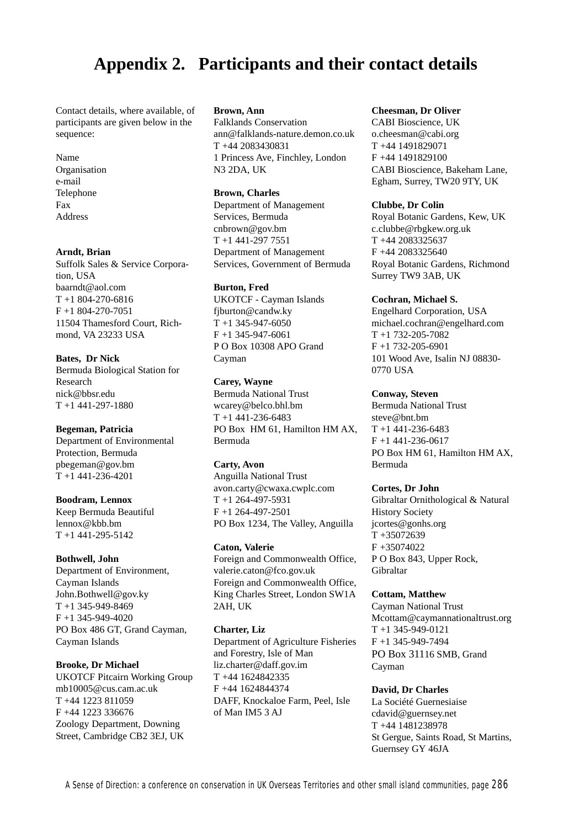# **Appendix 2. Participants and their contact details**

Contact details, where available, of participants are given below in the sequence:

Name Organisation e-mail Telephone Fax Address

#### **Arndt, Brian**

Suffolk Sales & Service Corporation, USA baarndt@aol.com  $T + 1804 - 270 - 6816$ F +1 804-270-7051 11504 Thamesford Court, Richmond, VA 23233 USA

#### **Bates, Dr Nick**

Bermuda Biological Station for Research nick@bbsr.edu T +1 441-297-1880

#### **Begeman, Patricia**

Department of Environmental Protection, Bermuda pbegeman@gov.bm T +1 441-236-4201

**Boodram, Lennox** Keep Bermuda Beautiful

lennox@kbb.bm  $T + 1441 - 295 - 5142$ 

#### **Bothwell, John**

Department of Environment, Cayman Islands John.Bothwell@gov.ky T +1 345-949-8469 F +1 345-949-4020 PO Box 486 GT, Grand Cayman, Cayman Islands

**Brooke, Dr Michael** UKOTCF Pitcairn Working Group mb10005@cus.cam.ac.uk T +44 1223 811059 F +44 1223 336676 Zoology Department, Downing Street, Cambridge CB2 3EJ, UK

#### **Brown, Ann**

Falklands Conservation ann@falklands-nature.demon.co.uk T +44 2083430831 1 Princess Ave, Finchley, London N3 2DA, UK

#### **Brown, Charles**

Department of Management Services, Bermuda cnbrown@gov.bm T +1 441-297 7551 Department of Management Services, Government of Bermuda

#### **Burton, Fred**

UKOTCF - Cayman Islands fjburton@candw.ky  $T + 1$  345-947-6050  $F + 1$  345-947-6061 P O Box 10308 APO Grand Cayman

#### **Carey, Wayne**

Bermuda National Trust wcarey@belco.bhl.bm  $T + 1441 - 236 - 6483$ PO Box HM 61, Hamilton HM AX, Bermuda

#### **Carty, Avon**

Anguilla National Trust avon.carty@cwaxa.cwplc.com  $T + 1$  264-497-5931 F +1 264-497-2501 PO Box 1234, The Valley, Anguilla

#### **Caton, Valerie**

Foreign and Commonwealth Office, valerie.caton@fco.gov.uk Foreign and Commonwealth Office, King Charles Street, London SW1A 2AH, UK

#### **Charter, Liz**

Department of Agriculture Fisheries and Forestry, Isle of Man liz.charter@daff.gov.im T +44 1624842335 F +44 1624844374 DAFF, Knockaloe Farm, Peel, Isle of Man IM5 3 AJ

#### **Cheesman, Dr Oliver**

CABI Bioscience, UK o.cheesman@cabi.org T +44 1491829071 F +44 1491829100 CABI Bioscience, Bakeham Lane, Egham, Surrey, TW20 9TY, UK

#### **Clubbe, Dr Colin**

Royal Botanic Gardens, Kew, UK c.clubbe@rbgkew.org.uk T +44 2083325637 F +44 2083325640 Royal Botanic Gardens, Richmond Surrey TW9 3AB, UK

#### **Cochran, Michael S.**

Engelhard Corporation, USA michael.cochran@engelhard.com  $T + 1$  732-205-7082 F +1 732-205-6901 101 Wood Ave, Isalin NJ 08830- 0770 USA

#### **Conway, Steven**

Bermuda National Trust steve@bnt.bm  $T + 1441 - 236 - 6483$ F +1 441-236-0617 PO Box HM 61, Hamilton HM AX, Bermuda

#### **Cortes, Dr John**

Gibraltar Ornithological & Natural History Society jcortes@gonhs.org T +35072639 F +35074022 P O Box 843, Upper Rock, Gibraltar

#### **Cottam, Matthew**

Cayman National Trust Mcottam@caymannationaltrust.org T +1 345-949-0121 F +1 345-949-7494 PO Box 31116 SMB, Grand Cayman

#### **David, Dr Charles**

La Société Guernesiaise cdavid@guernsey.net T +44 1481238978 St Gergue, Saints Road, St Martins, Guernsey GY 46JA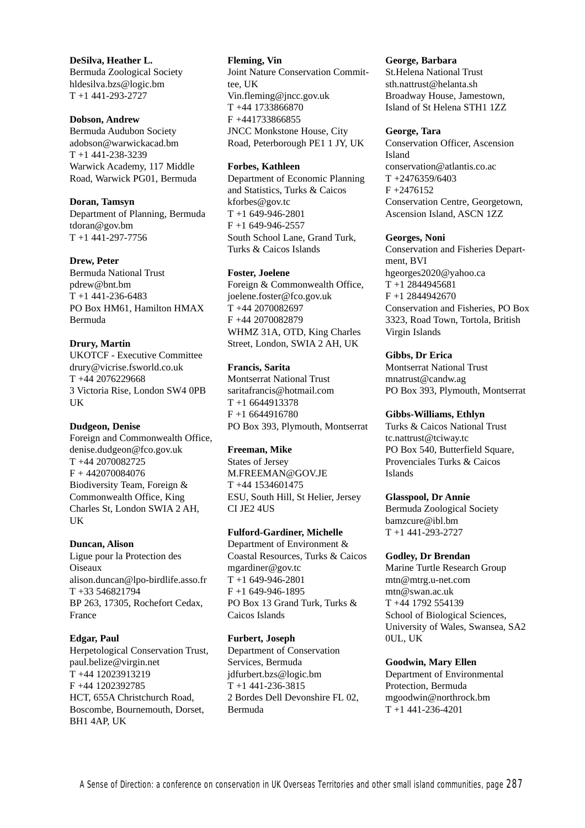**DeSilva, Heather L.** Bermuda Zoological Society hldesilva.bzs@logic.bm T +1 441-293-2727

#### **Dobson, Andrew**

Bermuda Audubon Society adobson@warwickacad.bm T +1 441-238-3239 Warwick Academy, 117 Middle Road, Warwick PG01, Bermuda

#### **Doran, Tamsyn**

Department of Planning, Bermuda tdoran@gov.bm  $T + 1441 - 297 - 7756$ 

#### **Drew, Peter**

Bermuda National Trust pdrew@bnt.bm  $T + 1441 - 236 - 6483$ PO Box HM61, Hamilton HMAX Bermuda

#### **Drury, Martin**

UKOTCF - Executive Committee drury@vicrise.fsworld.co.uk T +44 2076229668 3 Victoria Rise, London SW4 0PB UK

#### **Dudgeon, Denise**

Foreign and Commonwealth Office, denise.dudgeon@fco.gov.uk T +44 2070082725  $F + 442070084076$ Biodiversity Team, Foreign & Commonwealth Office, King Charles St, London SWIA 2 AH, UK

#### **Duncan, Alison**

Ligue pour la Protection des **Oiseaux** alison.duncan@lpo-birdlife.asso.fr T +33 546821794 BP 263, 17305, Rochefort Cedax, France

#### **Edgar, Paul**

Herpetological Conservation Trust, paul.belize@virgin.net T +44 12023913219 F +44 1202392785 HCT, 655A Christchurch Road, Boscombe, Bournemouth, Dorset, BH1 4AP, UK

**Fleming, Vin** Joint Nature Conservation Committee, UK Vin.fleming@jncc.gov.uk T +44 1733866870 F +441733866855 JNCC Monkstone House, City Road, Peterborough PE1 1 JY, UK

#### **Forbes, Kathleen**

Department of Economic Planning and Statistics, Turks & Caicos kforbes@gov.tc  $T + 1649 - 946 - 2801$ F +1 649-946-2557 South School Lane, Grand Turk, Turks & Caicos Islands

#### **Foster, Joelene**

Foreign & Commonwealth Office, joelene.foster@fco.gov.uk T +44 2070082697 F +44 2070082879 WHMZ 31A, OTD, King Charles Street, London, SWIA 2 AH, UK

#### **Francis, Sarita**

Montserrat National Trust saritafrancis@hotmail.com T +1 6644913378 F +1 6644916780 PO Box 393, Plymouth, Montserrat

## **Freeman, Mike**

States of Jersey M.FREEMAN@GOV.JE T +44 1534601475 ESU, South Hill, St Helier, Jersey CI JE2 4US

# **Fulford-Gardiner, Michelle**

Department of Environment & Coastal Resources, Turks & Caicos mgardiner@gov.tc T +1 649-946-2801 F +1 649-946-1895 PO Box 13 Grand Turk, Turks & Caicos Islands

#### **Furbert, Joseph**

Department of Conservation Services, Bermuda jdfurbert.bzs@logic.bm T +1 441-236-3815 2 Bordes Dell Devonshire FL 02, Bermuda

#### **George, Barbara**

St.Helena National Trust sth.nattrust@helanta.sh Broadway House, Jamestown, Island of St Helena STH1 1ZZ

#### **George, Tara**

Conservation Officer, Ascension Island conservation@atlantis.co.ac T +2476359/6403  $F + 2476152$ Conservation Centre, Georgetown, Ascension Island, ASCN 1ZZ

#### **Georges, Noni**

Conservation and Fisheries Department, BVI hgeorges2020@yahoo.ca T +1 2844945681 F +1 2844942670 Conservation and Fisheries, PO Box 3323, Road Town, Tortola, British Virgin Islands

#### **Gibbs, Dr Erica**

Montserrat National Trust mnatrust@candw.ag PO Box 393, Plymouth, Montserrat

#### **Gibbs-Williams, Ethlyn**

Turks & Caicos National Trust tc.nattrust@tciway.tc PO Box 540, Butterfield Square, Provenciales Turks & Caicos Islands

#### **Glasspool, Dr Annie**

Bermuda Zoological Society bamzcure@ibl.bm T +1 441-293-2727

#### **Godley, Dr Brendan**

Marine Turtle Research Group mtn@mtrg.u-net.com mtn@swan.ac.uk T +44 1792 554139 School of Biological Sciences, University of Wales, Swansea, SA2 0UL, UK

#### **Goodwin, Mary Ellen**

Department of Environmental Protection, Bermuda mgoodwin@northrock.bm T +1 441-236-4201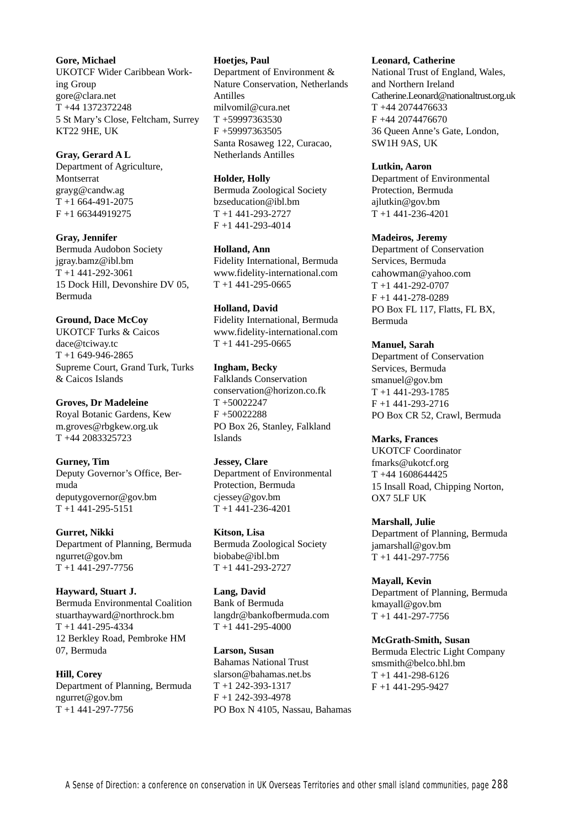#### **Gore, Michael**

UKOTCF Wider Caribbean Working Group gore@clara.net T +44 1372372248 5 St Mary's Close, Feltcham, Surrey KT22 9HE, UK

#### **Gray, Gerard A L**

Department of Agriculture, Montserrat grayg@candw.ag  $T + 1664 - 491 - 2075$ F +1 66344919275

**Gray, Jennifer**

Bermuda Audobon Society jgray.bamz@ibl.bm T +1 441-292-3061 15 Dock Hill, Devonshire DV 05, Bermuda

#### **Ground, Dace McCoy**

UKOTCF Turks & Caicos dace@tciway.tc T +1 649-946-2865 Supreme Court, Grand Turk, Turks & Caicos Islands

#### **Groves, Dr Madeleine**

Royal Botanic Gardens, Kew m.groves@rbgkew.org.uk T +44 2083325723

#### **Gurney, Tim**

Deputy Governor's Office, Bermuda deputygovernor@gov.bm T +1 441-295-5151

**Gurret, Nikki**

Department of Planning, Bermuda ngurret@gov.bm  $T + 1441 - 297 - 7756$ 

#### **Hayward, Stuart J.**

Bermuda Environmental Coalition stuarthayward@northrock.bm T +1 441-295-4334 12 Berkley Road, Pembroke HM 07, Bermuda

**Hill, Corey** Department of Planning, Bermuda ngurret@gov.bm T +1 441-297-7756

#### **Hoetjes, Paul**

Department of Environment & Nature Conservation, Netherlands Antilles milvomil@cura.net T +59997363530 F +59997363505 Santa Rosaweg 122, Curacao, Netherlands Antilles

#### **Holder, Holly**

Bermuda Zoological Society bzseducation@ibl.bm T +1 441-293-2727 F +1 441-293-4014

#### **Holland, Ann**

Fidelity International, Bermuda www.fidelity-international.com  $T + 1441 - 295 - 0665$ 

#### **Holland, David**

Fidelity International, Bermuda www.fidelity-international.com  $T + 1441 - 295 - 0665$ 

#### **Ingham, Becky**

Falklands Conservation conservation@horizon.co.fk T +50022247 F +50022288 PO Box 26, Stanley, Falkland Islands

#### **Jessey, Clare**

Department of Environmental Protection, Bermuda cjessey@gov.bm T +1 441-236-4201

#### **Kitson, Lisa**

Bermuda Zoological Society biobabe@ibl.bm T +1 441-293-2727

#### **Lang, David** Bank of Bermuda langdr@bankofbermuda.com T +1 441-295-4000

**Larson, Susan** Bahamas National Trust slarson@bahamas.net.bs T +1 242-393-1317 F +1 242-393-4978 PO Box N 4105, Nassau, Bahamas

#### **Leonard, Catherine**

National Trust of England, Wales, and Northern Ireland Catherine.Leonard@nationaltrust.org.uk T +44 2074476633 F +44 2074476670 36 Queen Anne's Gate, London, SW1H 9AS, UK

#### **Lutkin, Aaron**

Department of Environmental Protection, Bermuda ajlutkin@gov.bm  $T + 1$  441-236-4201

#### **Madeiros, Jeremy**

Department of Conservation Services, Bermuda cahowman@yahoo.com T +1 441-292-0707 F +1 441-278-0289 PO Box FL 117, Flatts, FL BX, Bermuda

#### **Manuel, Sarah**

Department of Conservation Services, Bermuda smanuel@gov.bm T +1 441-293-1785 F +1 441-293-2716 PO Box CR 52, Crawl, Bermuda

#### **Marks, Frances**

UKOTCF Coordinator fmarks@ukotcf.org T +44 1608644425 15 Insall Road, Chipping Norton, OX7 5LF UK

## **Marshall, Julie**

Department of Planning, Bermuda jamarshall@gov.bm  $T + 1441 - 297 - 7756$ 

#### **Mayall, Kevin** Department of Planning, Bermuda kmayall@gov.bm T +1 441-297-7756

**McGrath-Smith, Susan** Bermuda Electric Light Company smsmith@belco.bhl.bm T +1 441-298-6126 F +1 441-295-9427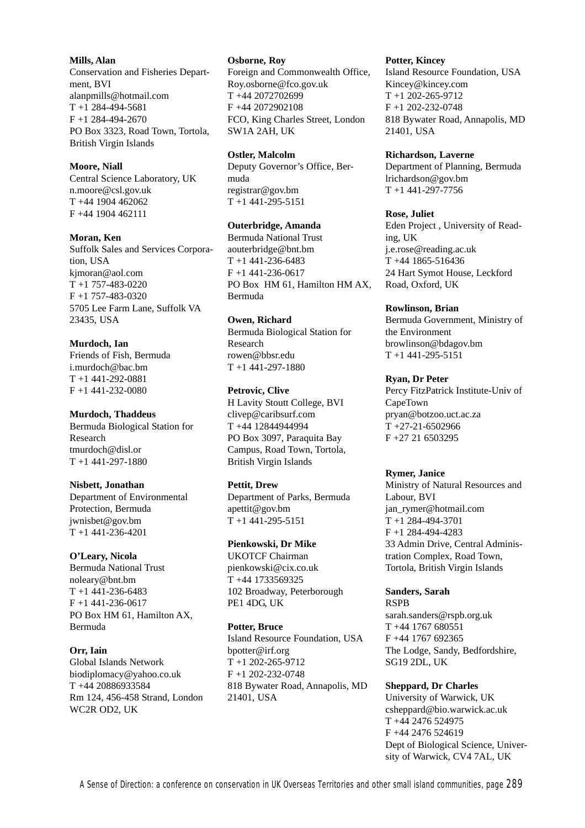**Mills, Alan**

Conservation and Fisheries Department, BVI alanpmills@hotmail.com T +1 284-494-5681  $F + 1$  284-494-2670 PO Box 3323, Road Town, Tortola, British Virgin Islands

#### **Moore, Niall**

Central Science Laboratory, UK n.moore@csl.gov.uk T +44 1904 462062 F +44 1904 462111

#### **Moran, Ken**

Suffolk Sales and Services Corporation, USA kjmoran@aol.com  $T + 1 757 - 483 - 0220$ F +1 757-483-0320 5705 Lee Farm Lane, Suffolk VA 23435, USA

#### **Murdoch, Ian**

Friends of Fish, Bermuda i.murdoch@bac.bm T +1 441-292-0881 F +1 441-232-0080

# **Murdoch, Thaddeus**

Bermuda Biological Station for Research tmurdoch@disl.or T +1 441-297-1880

#### **Nisbett, Jonathan**

Department of Environmental Protection, Bermuda jwnisbet@gov.bm T +1 441-236-4201

#### **O'Leary, Nicola**

Bermuda National Trust noleary@bnt.bm T +1 441-236-6483  $F + 1$  441-236-0617 PO Box HM 61, Hamilton AX, Bermuda

#### **Orr, Iain**

Global Islands Network biodiplomacy@yahoo.co.uk T +44 20886933584 Rm 124, 456-458 Strand, London WC2R OD2, UK

#### **Osborne, Roy**

Foreign and Commonwealth Office, Roy.osborne@fco.gov.uk T +44 2072702699 F +44 2072902108 FCO, King Charles Street, London SW1A 2AH, UK

#### **Ostler, Malcolm**

Deputy Governor's Office, Bermuda registrar@gov.bm  $T + 1$  441-295-5151

#### **Outerbridge, Amanda**

Bermuda National Trust aouterbridge@bnt.bm  $T + 1441 - 236 - 6483$ F +1 441-236-0617 PO Box HM 61, Hamilton HM AX, Bermuda

#### **Owen, Richard**

Bermuda Biological Station for Research rowen@bbsr.edu T +1 441-297-1880

#### **Petrovic, Clive**

H Lavity Stoutt College, BVI clivep@caribsurf.com T +44 12844944994 PO Box 3097, Paraquita Bay Campus, Road Town, Tortola, British Virgin Islands

#### **Pettit, Drew**

Department of Parks, Bermuda apettit@gov.bm T +1 441-295-5151

#### **Pienkowski, Dr Mike**

UKOTCF Chairman pienkowski@cix.co.uk T +44 1733569325 102 Broadway, Peterborough PE1 4DG, UK

#### **Potter, Bruce**

Island Resource Foundation, USA bpotter@irf.org T +1 202-265-9712 F +1 202-232-0748 818 Bywater Road, Annapolis, MD 21401, USA

#### **Potter, Kincey**

Island Resource Foundation, USA Kincey@kincey.com  $T + 1$  202-265-9712 F +1 202-232-0748 818 Bywater Road, Annapolis, MD 21401, USA

#### **Richardson, Laverne**

Department of Planning, Bermuda lrichardson@gov.bm  $T + 1441 - 297 - 7756$ 

#### **Rose, Juliet**

Eden Project , University of Reading, UK j.e.rose@reading.ac.uk T +44 1865-516436 24 Hart Symot House, Leckford Road, Oxford, UK

#### **Rowlinson, Brian**

Bermuda Government, Ministry of the Environment browlinson@bdagov.bm T +1 441-295-5151

#### **Ryan, Dr Peter**

Percy FitzPatrick Institute-Univ of CapeTown pryan@botzoo.uct.ac.za T +27-21-6502966 F +27 21 6503295

#### **Rymer, Janice**

Ministry of Natural Resources and Labour, BVI jan\_rymer@hotmail.com T +1 284-494-3701 F +1 284-494-4283 33 Admin Drive, Central Administration Complex, Road Town, Tortola, British Virgin Islands

#### **Sanders, Sarah**

RSPB sarah.sanders@rspb.org.uk T +44 1767 680551 F +44 1767 692365 The Lodge, Sandy, Bedfordshire, SG19 2DL, UK

#### **Sheppard, Dr Charles**

University of Warwick, UK csheppard@bio.warwick.ac.uk T +44 2476 524975 F +44 2476 524619 Dept of Biological Science, University of Warwick, CV4 7AL, UK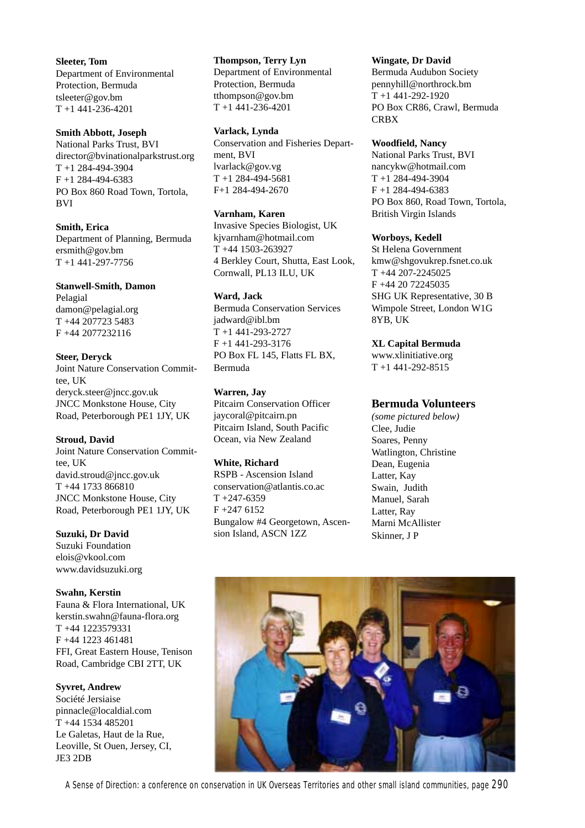**Sleeter, Tom** Department of Environmental Protection, Bermuda tsleeter@gov.bm T +1 441-236-4201

#### **Smith Abbott, Joseph**

National Parks Trust, BVI director@bvinationalparkstrust.org T +1 284-494-3904 F +1 284-494-6383 PO Box 860 Road Town, Tortola, **BVI** 

#### **Smith, Erica**

Department of Planning, Bermuda ersmith@gov.bm T +1 441-297-7756

#### **Stanwell-Smith, Damon**

Pelagial damon@pelagial.org T +44 207723 5483 F +44 2077232116

# **Steer, Deryck** Joint Nature Conservation Committee, UK deryck.steer@jncc.gov.uk

JNCC Monkstone House, City Road, Peterborough PE1 1JY, UK

#### **Stroud, David**

Joint Nature Conservation Committee, UK david.stroud@jncc.gov.uk T +44 1733 866810 JNCC Monkstone House, City Road, Peterborough PE1 1JY, UK

## **Suzuki, Dr David**

Suzuki Foundation elois@vkool.com www.davidsuzuki.org

# **Swahn, Kerstin**

Fauna & Flora International, UK kerstin.swahn@fauna-flora.org T +44 1223579331 F +44 1223 461481 FFI, Great Eastern House, Tenison Road, Cambridge CBI 2TT, UK

# **Syvret, Andrew**

Société Jersiaise pinnacle@localdial.com T +44 1534 485201 Le Galetas, Haut de la Rue, Leoville, St Ouen, Jersey, CI, JE3 2DB

#### **Thompson, Terry Lyn**

Department of Environmental Protection, Bermuda tthompson@gov.bm T +1 441-236-4201

#### **Varlack, Lynda**

Conservation and Fisheries Department, BVI lvarlack@gov.vg T +1 284-494-5681 F+1 284-494-2670

#### **Varnham, Karen**

Invasive Species Biologist, UK kjvarnham@hotmail.com T +44 1503-263927 4 Berkley Court, Shutta, East Look, Cornwall, PL13 ILU, UK

# **Ward, Jack**

Bermuda Conservation Services jadward@ibl.bm T +1 441-293-2727 F +1 441-293-3176 PO Box FL 145, Flatts FL BX, Bermuda

#### **Warren, Jay**

Pitcairn Conservation Officer jaycoral@pitcairn.pn Pitcairn Island, South Pacific Ocean, via New Zealand

#### **White, Richard**

RSPB - Ascension Island conservation@atlantis.co.ac  $T + 247 - 6359$ F +247 6152 Bungalow #4 Georgetown, Ascension Island, ASCN 1ZZ

#### **Wingate, Dr David**

Bermuda Audubon Society pennyhill@northrock.bm T +1 441-292-1920 PO Box CR86, Crawl, Bermuda **CRBX** 

#### **Woodfield, Nancy**

National Parks Trust, BVI nancykw@hotmail.com T +1 284-494-3904 F +1 284-494-6383 PO Box 860, Road Town, Tortola, British Virgin Islands

#### **Worboys, Kedell**

St Helena Government kmw@shgovukrep.fsnet.co.uk T +44 207-2245025 F +44 20 72245035 SHG UK Representative, 30 B Wimpole Street, London W1G 8YB, UK

# **XL Capital Bermuda**

www.xlinitiative.org  $T + 1$  441-292-8515

# **Bermuda Volunteers**

*(some pictured below)* Clee, Judie Soares, Penny Watlington, Christine Dean, Eugenia Latter, Kay Swain, Judith Manuel, Sarah Latter, Ray Marni McAllister Skinner, J P

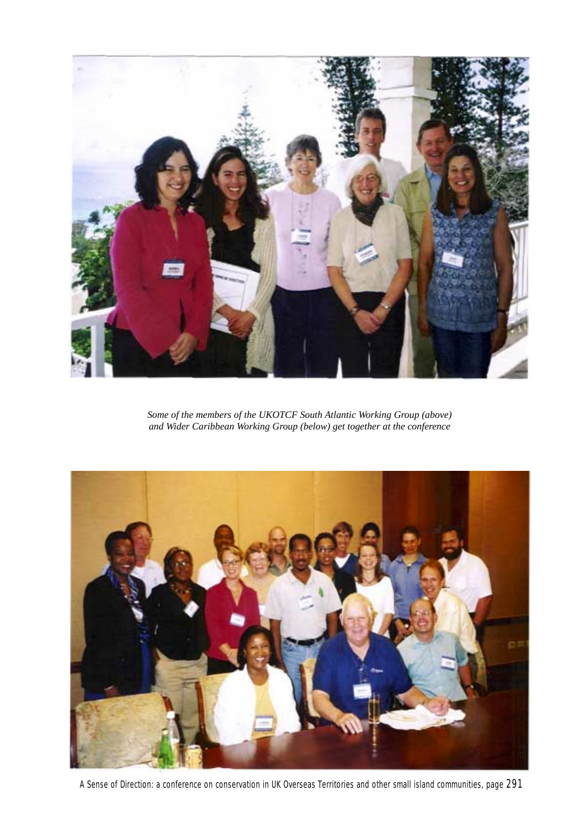

*Some of the members of the UKOTCF South Atlantic Working Group (above) and Wider Caribbean Working Group (below) get together at the conference*



A Sense of Direction: a conference on conservation in UK Overseas Territories and other small island communities, page 291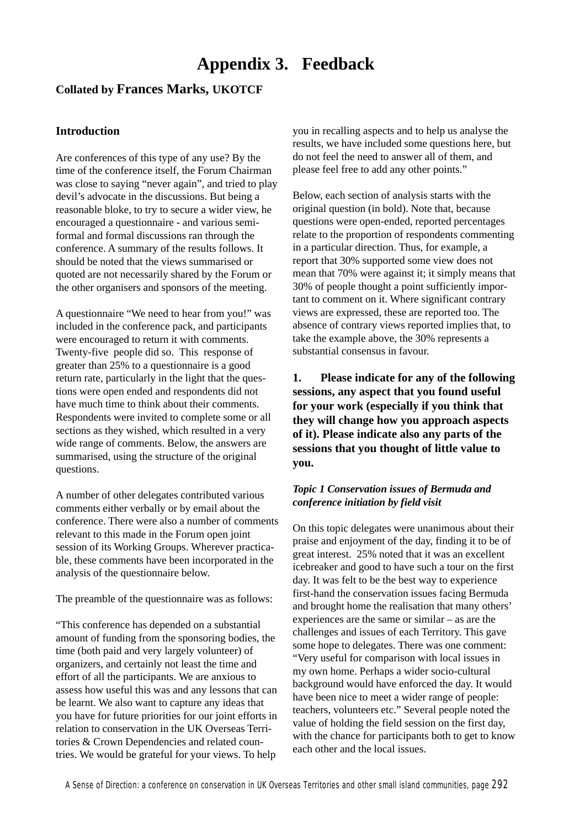# **Appendix 3. Feedback**

# **Collated by Frances Marks, UKOTCF**

# **Introduction**

Are conferences of this type of any use? By the time of the conference itself, the Forum Chairman was close to saying "never again", and tried to play devil's advocate in the discussions. But being a reasonable bloke, to try to secure a wider view, he encouraged a questionnaire - and various semiformal and formal discussions ran through the conference. A summary of the results follows. It should be noted that the views summarised or quoted are not necessarily shared by the Forum or the other organisers and sponsors of the meeting.

A questionnaire "We need to hear from you!" was included in the conference pack, and participants were encouraged to return it with comments. Twenty-five people did so. This response of greater than 25% to a questionnaire is a good return rate, particularly in the light that the questions were open ended and respondents did not have much time to think about their comments. Respondents were invited to complete some or all sections as they wished, which resulted in a very wide range of comments. Below, the answers are summarised, using the structure of the original questions.

A number of other delegates contributed various comments either verbally or by email about the conference. There were also a number of comments relevant to this made in the Forum open joint session of its Working Groups. Wherever practicable, these comments have been incorporated in the analysis of the questionnaire below.

The preamble of the questionnaire was as follows:

"This conference has depended on a substantial amount of funding from the sponsoring bodies, the time (both paid and very largely volunteer) of organizers, and certainly not least the time and effort of all the participants. We are anxious to assess how useful this was and any lessons that can be learnt. We also want to capture any ideas that you have for future priorities for our joint efforts in relation to conservation in the UK Overseas Territories & Crown Dependencies and related countries. We would be grateful for your views. To help

you in recalling aspects and to help us analyse the results, we have included some questions here, but do not feel the need to answer all of them, and please feel free to add any other points."

Below, each section of analysis starts with the original question (in bold). Note that, because questions were open-ended, reported percentages relate to the proportion of respondents commenting in a particular direction. Thus, for example, a report that 30% supported some view does not mean that 70% were against it; it simply means that 30% of people thought a point sufficiently important to comment on it. Where significant contrary views are expressed, these are reported too. The absence of contrary views reported implies that, to take the example above, the 30% represents a substantial consensus in favour.

**1. Please indicate for any of the following sessions, any aspect that you found useful for your work (especially if you think that they will change how you approach aspects of it). Please indicate also any parts of the sessions that you thought of little value to you.**

# *Topic 1 Conservation issues of Bermuda and conference initiation by field visit*

On this topic delegates were unanimous about their praise and enjoyment of the day, finding it to be of great interest. 25% noted that it was an excellent icebreaker and good to have such a tour on the first day. It was felt to be the best way to experience first-hand the conservation issues facing Bermuda and brought home the realisation that many others' experiences are the same or similar – as are the challenges and issues of each Territory. This gave some hope to delegates. There was one comment: "Very useful for comparison with local issues in my own home. Perhaps a wider socio-cultural background would have enforced the day. It would have been nice to meet a wider range of people: teachers, volunteers etc." Several people noted the value of holding the field session on the first day, with the chance for participants both to get to know each other and the local issues.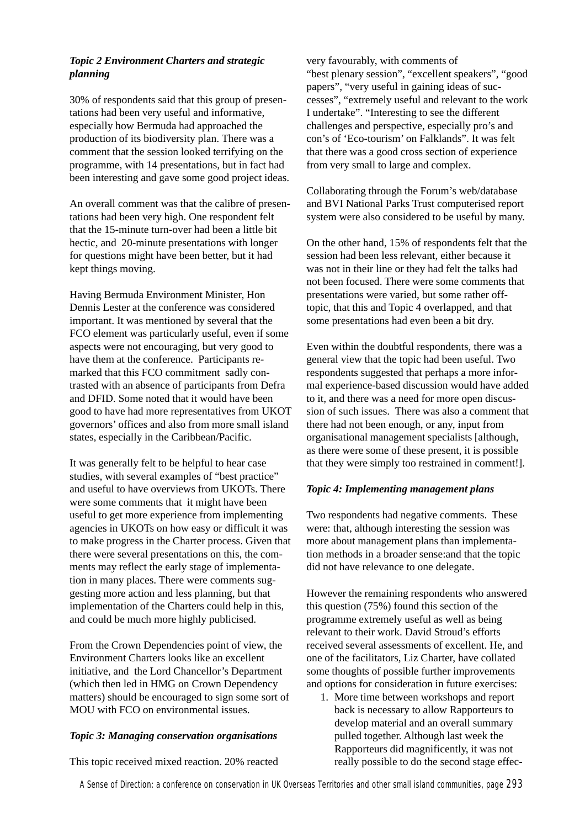# *Topic 2 Environment Charters and strategic planning*

30% of respondents said that this group of presentations had been very useful and informative, especially how Bermuda had approached the production of its biodiversity plan. There was a comment that the session looked terrifying on the programme, with 14 presentations, but in fact had been interesting and gave some good project ideas.

An overall comment was that the calibre of presentations had been very high. One respondent felt that the 15-minute turn-over had been a little bit hectic, and 20-minute presentations with longer for questions might have been better, but it had kept things moving.

Having Bermuda Environment Minister, Hon Dennis Lester at the conference was considered important. It was mentioned by several that the FCO element was particularly useful, even if some aspects were not encouraging, but very good to have them at the conference. Participants remarked that this FCO commitment sadly contrasted with an absence of participants from Defra and DFID. Some noted that it would have been good to have had more representatives from UKOT governors' offices and also from more small island states, especially in the Caribbean/Pacific.

It was generally felt to be helpful to hear case studies, with several examples of "best practice" and useful to have overviews from UKOTs. There were some comments that it might have been useful to get more experience from implementing agencies in UKOTs on how easy or difficult it was to make progress in the Charter process. Given that there were several presentations on this, the comments may reflect the early stage of implementation in many places. There were comments suggesting more action and less planning, but that implementation of the Charters could help in this, and could be much more highly publicised.

From the Crown Dependencies point of view, the Environment Charters looks like an excellent initiative, and the Lord Chancellor's Department (which then led in HMG on Crown Dependency matters) should be encouraged to sign some sort of MOU with FCO on environmental issues.

# *Topic 3: Managing conservation organisations*

This topic received mixed reaction. 20% reacted

very favourably, with comments of "best plenary session", "excellent speakers", "good papers", "very useful in gaining ideas of successes", "extremely useful and relevant to the work I undertake". "Interesting to see the different challenges and perspective, especially pro's and con's of 'Eco-tourism' on Falklands". It was felt that there was a good cross section of experience from very small to large and complex.

Collaborating through the Forum's web/database and BVI National Parks Trust computerised report system were also considered to be useful by many.

On the other hand, 15% of respondents felt that the session had been less relevant, either because it was not in their line or they had felt the talks had not been focused. There were some comments that presentations were varied, but some rather offtopic, that this and Topic 4 overlapped, and that some presentations had even been a bit dry.

Even within the doubtful respondents, there was a general view that the topic had been useful. Two respondents suggested that perhaps a more informal experience-based discussion would have added to it, and there was a need for more open discussion of such issues. There was also a comment that there had not been enough, or any, input from organisational management specialists [although, as there were some of these present, it is possible that they were simply too restrained in comment!].

# *Topic 4: Implementing management plans*

Two respondents had negative comments. These were: that, although interesting the session was more about management plans than implementation methods in a broader sense:and that the topic did not have relevance to one delegate.

However the remaining respondents who answered this question (75%) found this section of the programme extremely useful as well as being relevant to their work. David Stroud's efforts received several assessments of excellent. He, and one of the facilitators, Liz Charter, have collated some thoughts of possible further improvements and options for consideration in future exercises:

1. More time between workshops and report back is necessary to allow Rapporteurs to develop material and an overall summary pulled together. Although last week the Rapporteurs did magnificently, it was not really possible to do the second stage effec-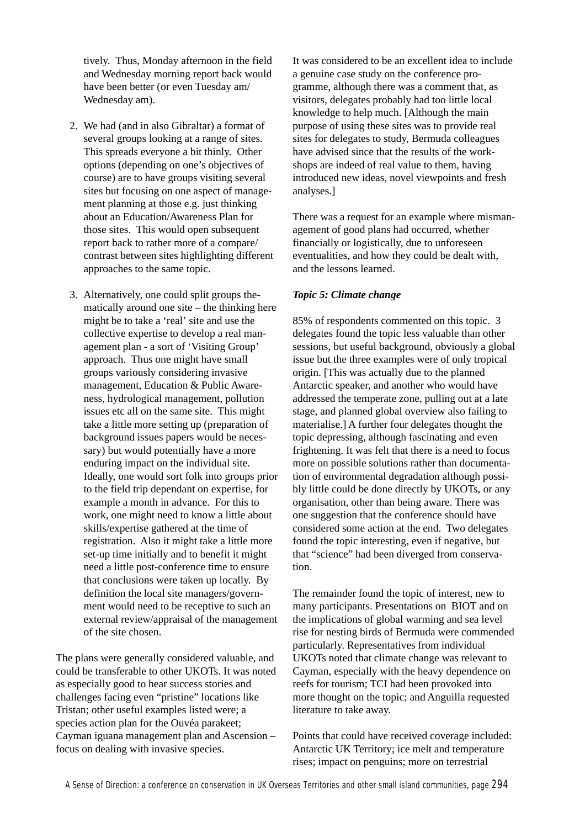tively. Thus, Monday afternoon in the field and Wednesday morning report back would have been better (or even Tuesday am/ Wednesday am).

- 2. We had (and in also Gibraltar) a format of several groups looking at a range of sites. This spreads everyone a bit thinly. Other options (depending on one's objectives of course) are to have groups visiting several sites but focusing on one aspect of management planning at those e.g. just thinking about an Education/Awareness Plan for those sites. This would open subsequent report back to rather more of a compare/ contrast between sites highlighting different approaches to the same topic.
- 3. Alternatively, one could split groups thematically around one site – the thinking here might be to take a 'real' site and use the collective expertise to develop a real management plan - a sort of 'Visiting Group' approach. Thus one might have small groups variously considering invasive management, Education & Public Awareness, hydrological management, pollution issues etc all on the same site. This might take a little more setting up (preparation of background issues papers would be necessary) but would potentially have a more enduring impact on the individual site. Ideally, one would sort folk into groups prior to the field trip dependant on expertise, for example a month in advance. For this to work, one might need to know a little about skills/expertise gathered at the time of registration. Also it might take a little more set-up time initially and to benefit it might need a little post-conference time to ensure that conclusions were taken up locally. By definition the local site managers/government would need to be receptive to such an external review/appraisal of the management of the site chosen.

The plans were generally considered valuable, and could be transferable to other UKOTs. It was noted as especially good to hear success stories and challenges facing even "pristine" locations like Tristan; other useful examples listed were; a species action plan for the Ouvéa parakeet; Cayman iguana management plan and Ascension – focus on dealing with invasive species.

It was considered to be an excellent idea to include a genuine case study on the conference programme, although there was a comment that, as visitors, delegates probably had too little local knowledge to help much. [Although the main purpose of using these sites was to provide real sites for delegates to study, Bermuda colleagues have advised since that the results of the workshops are indeed of real value to them, having introduced new ideas, novel viewpoints and fresh analyses.]

There was a request for an example where mismanagement of good plans had occurred, whether financially or logistically, due to unforeseen eventualities, and how they could be dealt with, and the lessons learned.

# *Topic 5: Climate change*

85% of respondents commented on this topic. 3 delegates found the topic less valuable than other sessions, but useful background, obviously a global issue but the three examples were of only tropical origin. [This was actually due to the planned Antarctic speaker, and another who would have addressed the temperate zone, pulling out at a late stage, and planned global overview also failing to materialise.] A further four delegates thought the topic depressing, although fascinating and even frightening. It was felt that there is a need to focus more on possible solutions rather than documentation of environmental degradation although possibly little could be done directly by UKOTs, or any organisation, other than being aware. There was one suggestion that the conference should have considered some action at the end. Two delegates found the topic interesting, even if negative, but that "science" had been diverged from conservation.

The remainder found the topic of interest, new to many participants. Presentations on BIOT and on the implications of global warming and sea level rise for nesting birds of Bermuda were commended particularly. Representatives from individual UKOTs noted that climate change was relevant to Cayman, especially with the heavy dependence on reefs for tourism; TCI had been provoked into more thought on the topic; and Anguilla requested literature to take away.

Points that could have received coverage included: Antarctic UK Territory; ice melt and temperature rises; impact on penguins; more on terrestrial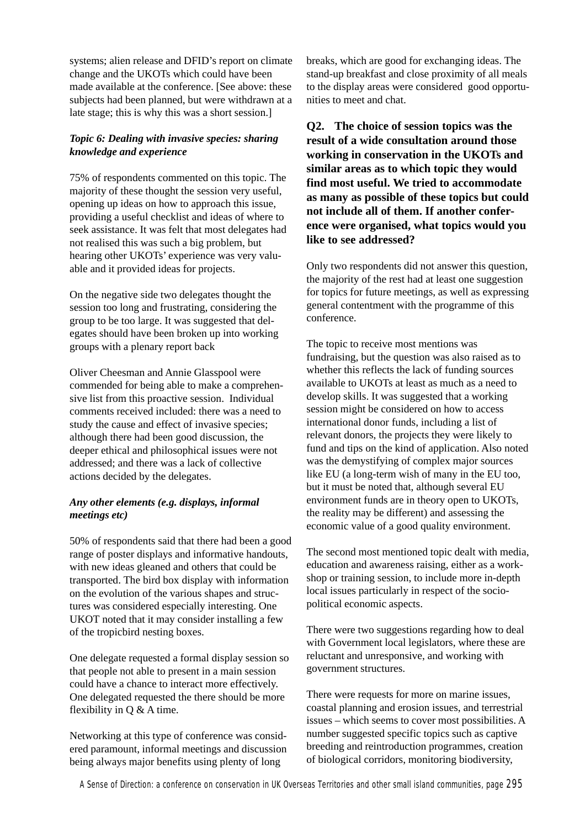systems; alien release and DFID's report on climate change and the UKOTs which could have been made available at the conference. [See above: these subjects had been planned, but were withdrawn at a late stage; this is why this was a short session.]

# *Topic 6: Dealing with invasive species: sharing knowledge and experience*

75% of respondents commented on this topic. The majority of these thought the session very useful, opening up ideas on how to approach this issue, providing a useful checklist and ideas of where to seek assistance. It was felt that most delegates had not realised this was such a big problem, but hearing other UKOTs' experience was very valuable and it provided ideas for projects.

On the negative side two delegates thought the session too long and frustrating, considering the group to be too large. It was suggested that delegates should have been broken up into working groups with a plenary report back

Oliver Cheesman and Annie Glasspool were commended for being able to make a comprehensive list from this proactive session. Individual comments received included: there was a need to study the cause and effect of invasive species; although there had been good discussion, the deeper ethical and philosophical issues were not addressed; and there was a lack of collective actions decided by the delegates.

# *Any other elements (e.g. displays, informal meetings etc)*

50% of respondents said that there had been a good range of poster displays and informative handouts, with new ideas gleaned and others that could be transported. The bird box display with information on the evolution of the various shapes and structures was considered especially interesting. One UKOT noted that it may consider installing a few of the tropicbird nesting boxes.

One delegate requested a formal display session so that people not able to present in a main session could have a chance to interact more effectively. One delegated requested the there should be more flexibility in Q & A time.

Networking at this type of conference was considered paramount, informal meetings and discussion being always major benefits using plenty of long

breaks, which are good for exchanging ideas. The stand-up breakfast and close proximity of all meals to the display areas were considered good opportunities to meet and chat.

**Q2. The choice of session topics was the result of a wide consultation around those working in conservation in the UKOTs and similar areas as to which topic they would find most useful. We tried to accommodate as many as possible of these topics but could not include all of them. If another conference were organised, what topics would you like to see addressed?**

Only two respondents did not answer this question, the majority of the rest had at least one suggestion for topics for future meetings, as well as expressing general contentment with the programme of this conference.

The topic to receive most mentions was fundraising, but the question was also raised as to whether this reflects the lack of funding sources available to UKOTs at least as much as a need to develop skills. It was suggested that a working session might be considered on how to access international donor funds, including a list of relevant donors, the projects they were likely to fund and tips on the kind of application. Also noted was the demystifying of complex major sources like EU (a long-term wish of many in the EU too, but it must be noted that, although several EU environment funds are in theory open to UKOTs, the reality may be different) and assessing the economic value of a good quality environment.

The second most mentioned topic dealt with media, education and awareness raising, either as a workshop or training session, to include more in-depth local issues particularly in respect of the sociopolitical economic aspects.

There were two suggestions regarding how to deal with Government local legislators, where these are reluctant and unresponsive, and working with government structures.

There were requests for more on marine issues, coastal planning and erosion issues, and terrestrial issues – which seems to cover most possibilities. A number suggested specific topics such as captive breeding and reintroduction programmes, creation of biological corridors, monitoring biodiversity,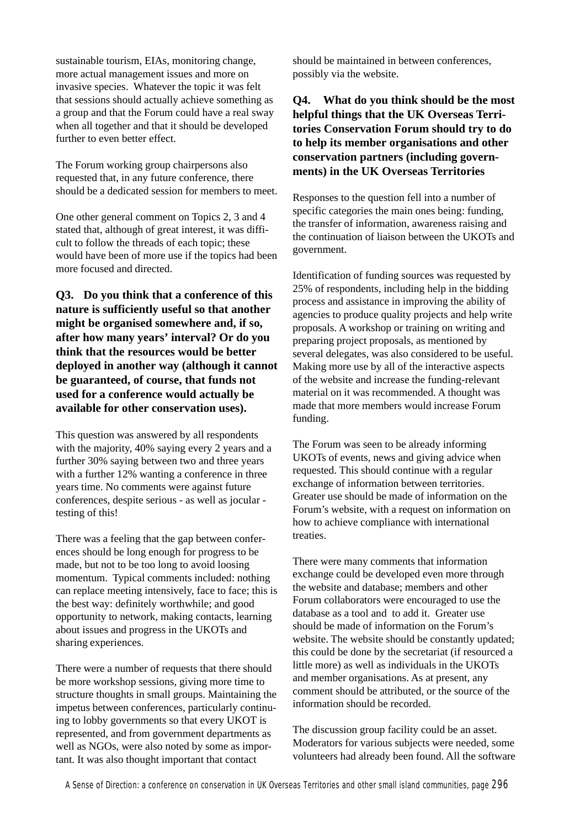sustainable tourism, EIAs, monitoring change, more actual management issues and more on invasive species. Whatever the topic it was felt that sessions should actually achieve something as a group and that the Forum could have a real sway when all together and that it should be developed further to even better effect.

The Forum working group chairpersons also requested that, in any future conference, there should be a dedicated session for members to meet.

One other general comment on Topics 2, 3 and 4 stated that, although of great interest, it was difficult to follow the threads of each topic; these would have been of more use if the topics had been more focused and directed.

**Q3. Do you think that a conference of this nature is sufficiently useful so that another might be organised somewhere and, if so, after how many years' interval? Or do you think that the resources would be better deployed in another way (although it cannot be guaranteed, of course, that funds not used for a conference would actually be available for other conservation uses).**

This question was answered by all respondents with the majority, 40% saying every 2 years and a further 30% saying between two and three years with a further 12% wanting a conference in three years time. No comments were against future conferences, despite serious - as well as jocular testing of this!

There was a feeling that the gap between conferences should be long enough for progress to be made, but not to be too long to avoid loosing momentum. Typical comments included: nothing can replace meeting intensively, face to face; this is the best way: definitely worthwhile; and good opportunity to network, making contacts, learning about issues and progress in the UKOTs and sharing experiences.

There were a number of requests that there should be more workshop sessions, giving more time to structure thoughts in small groups. Maintaining the impetus between conferences, particularly continuing to lobby governments so that every UKOT is represented, and from government departments as well as NGOs, were also noted by some as important. It was also thought important that contact

should be maintained in between conferences, possibly via the website.

# **Q4. What do you think should be the most helpful things that the UK Overseas Territories Conservation Forum should try to do to help its member organisations and other conservation partners (including governments) in the UK Overseas Territories**

Responses to the question fell into a number of specific categories the main ones being: funding, the transfer of information, awareness raising and the continuation of liaison between the UKOTs and government.

Identification of funding sources was requested by 25% of respondents, including help in the bidding process and assistance in improving the ability of agencies to produce quality projects and help write proposals. A workshop or training on writing and preparing project proposals, as mentioned by several delegates, was also considered to be useful. Making more use by all of the interactive aspects of the website and increase the funding-relevant material on it was recommended. A thought was made that more members would increase Forum funding.

The Forum was seen to be already informing UKOTs of events, news and giving advice when requested. This should continue with a regular exchange of information between territories. Greater use should be made of information on the Forum's website, with a request on information on how to achieve compliance with international treaties.

There were many comments that information exchange could be developed even more through the website and database; members and other Forum collaborators were encouraged to use the database as a tool and to add it. Greater use should be made of information on the Forum's website. The website should be constantly updated; this could be done by the secretariat (if resourced a little more) as well as individuals in the UKOTs and member organisations. As at present, any comment should be attributed, or the source of the information should be recorded.

The discussion group facility could be an asset. Moderators for various subjects were needed, some volunteers had already been found. All the software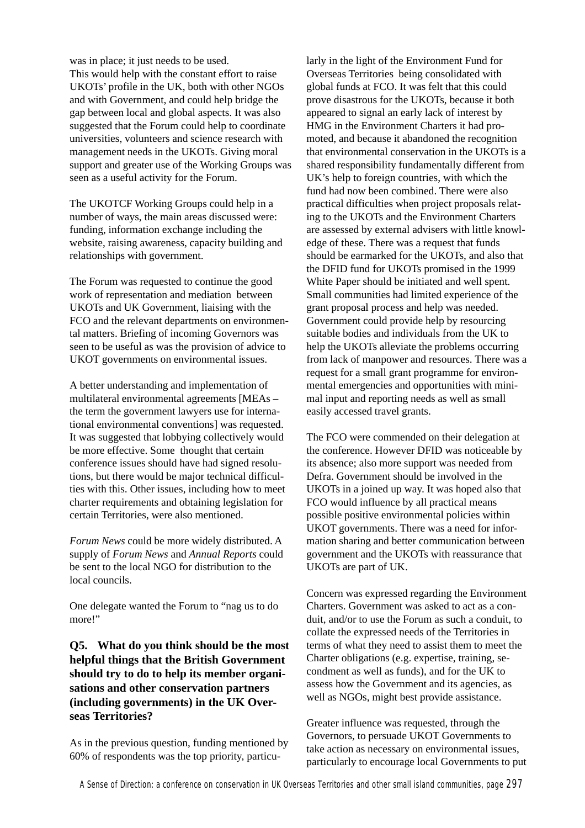was in place; it just needs to be used. This would help with the constant effort to raise UKOTs' profile in the UK, both with other NGOs and with Government, and could help bridge the gap between local and global aspects. It was also suggested that the Forum could help to coordinate universities, volunteers and science research with management needs in the UKOTs. Giving moral support and greater use of the Working Groups was seen as a useful activity for the Forum.

The UKOTCF Working Groups could help in a number of ways, the main areas discussed were: funding, information exchange including the website, raising awareness, capacity building and relationships with government.

The Forum was requested to continue the good work of representation and mediation between UKOTs and UK Government, liaising with the FCO and the relevant departments on environmental matters. Briefing of incoming Governors was seen to be useful as was the provision of advice to UKOT governments on environmental issues.

A better understanding and implementation of multilateral environmental agreements [MEAs – the term the government lawyers use for international environmental conventions] was requested. It was suggested that lobbying collectively would be more effective. Some thought that certain conference issues should have had signed resolutions, but there would be major technical difficulties with this. Other issues, including how to meet charter requirements and obtaining legislation for certain Territories, were also mentioned.

*Forum News* could be more widely distributed. A supply of *Forum News* and *Annual Reports* could be sent to the local NGO for distribution to the local councils.

One delegate wanted the Forum to "nag us to do more!"

**Q5. What do you think should be the most helpful things that the British Government should try to do to help its member organisations and other conservation partners (including governments) in the UK Overseas Territories?**

As in the previous question, funding mentioned by 60% of respondents was the top priority, particularly in the light of the Environment Fund for Overseas Territories being consolidated with global funds at FCO. It was felt that this could prove disastrous for the UKOTs, because it both appeared to signal an early lack of interest by HMG in the Environment Charters it had promoted, and because it abandoned the recognition that environmental conservation in the UKOTs is a shared responsibility fundamentally different from UK's help to foreign countries, with which the fund had now been combined. There were also practical difficulties when project proposals relating to the UKOTs and the Environment Charters are assessed by external advisers with little knowledge of these. There was a request that funds should be earmarked for the UKOTs, and also that the DFID fund for UKOTs promised in the 1999 White Paper should be initiated and well spent. Small communities had limited experience of the grant proposal process and help was needed. Government could provide help by resourcing suitable bodies and individuals from the UK to help the UKOTs alleviate the problems occurring from lack of manpower and resources. There was a request for a small grant programme for environmental emergencies and opportunities with minimal input and reporting needs as well as small easily accessed travel grants.

The FCO were commended on their delegation at the conference. However DFID was noticeable by its absence; also more support was needed from Defra. Government should be involved in the UKOTs in a joined up way. It was hoped also that FCO would influence by all practical means possible positive environmental policies within UKOT governments. There was a need for information sharing and better communication between government and the UKOTs with reassurance that UKOTs are part of UK.

Concern was expressed regarding the Environment Charters. Government was asked to act as a conduit, and/or to use the Forum as such a conduit, to collate the expressed needs of the Territories in terms of what they need to assist them to meet the Charter obligations (e.g. expertise, training, secondment as well as funds), and for the UK to assess how the Government and its agencies, as well as NGOs, might best provide assistance.

Greater influence was requested, through the Governors, to persuade UKOT Governments to take action as necessary on environmental issues, particularly to encourage local Governments to put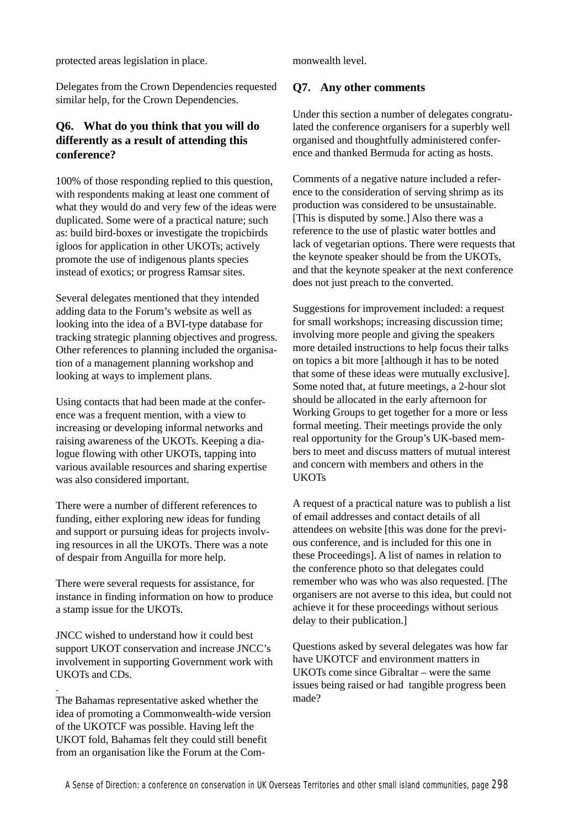protected areas legislation in place.

Delegates from the Crown Dependencies requested similar help, for the Crown Dependencies.

# **Q6. What do you think that you will do differently as a result of attending this conference?**

100% of those responding replied to this question, with respondents making at least one comment of what they would do and very few of the ideas were duplicated. Some were of a practical nature; such as: build bird-boxes or investigate the tropicbirds igloos for application in other UKOTs; actively promote the use of indigenous plants species instead of exotics; or progress Ramsar sites.

Several delegates mentioned that they intended adding data to the Forum's website as well as looking into the idea of a BVI-type database for tracking strategic planning objectives and progress. Other references to planning included the organisation of a management planning workshop and looking at ways to implement plans.

Using contacts that had been made at the conference was a frequent mention, with a view to increasing or developing informal networks and raising awareness of the UKOTs. Keeping a dialogue flowing with other UKOTs, tapping into various available resources and sharing expertise was also considered important.

There were a number of different references to funding, either exploring new ideas for funding and support or pursuing ideas for projects involving resources in all the UKOTs. There was a note of despair from Anguilla for more help.

There were several requests for assistance, for instance in finding information on how to produce a stamp issue for the UKOTs.

JNCC wished to understand how it could best support UKOT conservation and increase JNCC's involvement in supporting Government work with UKOTs and CDs.

.

The Bahamas representative asked whether the idea of promoting a Commonwealth-wide version of the UKOTCF was possible. Having left the UKOT fold, Bahamas felt they could still benefit from an organisation like the Forum at the Commonwealth level.

# **Q7. Any other comments**

Under this section a number of delegates congratulated the conference organisers for a superbly well organised and thoughtfully administered conference and thanked Bermuda for acting as hosts.

Comments of a negative nature included a reference to the consideration of serving shrimp as its production was considered to be unsustainable. [This is disputed by some.] Also there was a reference to the use of plastic water bottles and lack of vegetarian options. There were requests that the keynote speaker should be from the UKOTs, and that the keynote speaker at the next conference does not just preach to the converted.

Suggestions for improvement included: a request for small workshops; increasing discussion time; involving more people and giving the speakers more detailed instructions to help focus their talks on topics a bit more [although it has to be noted that some of these ideas were mutually exclusive]. Some noted that, at future meetings, a 2-hour slot should be allocated in the early afternoon for Working Groups to get together for a more or less formal meeting. Their meetings provide the only real opportunity for the Group's UK-based members to meet and discuss matters of mutual interest and concern with members and others in the **UKOTs** 

A request of a practical nature was to publish a list of email addresses and contact details of all attendees on website [this was done for the previous conference, and is included for this one in these Proceedings]. A list of names in relation to the conference photo so that delegates could remember who was who was also requested. [The organisers are not averse to this idea, but could not achieve it for these proceedings without serious delay to their publication.]

Questions asked by several delegates was how far have UKOTCF and environment matters in UKOTs come since Gibraltar – were the same issues being raised or had tangible progress been made?